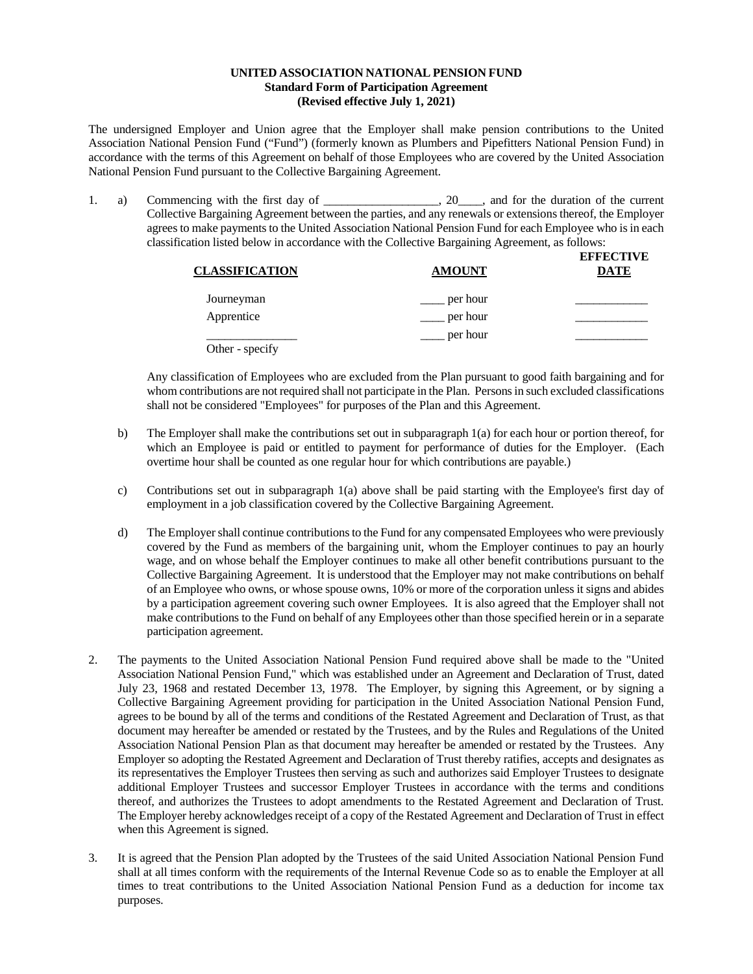## **UNITED ASSOCIATION NATIONAL PENSION FUND Standard Form of Participation Agreement (Revised effective July 1, 2021)**

The undersigned Employer and Union agree that the Employer shall make pension contributions to the United Association National Pension Fund ("Fund") (formerly known as Plumbers and Pipefitters National Pension Fund) in accordance with the terms of this Agreement on behalf of those Employees who are covered by the United Association National Pension Fund pursuant to the Collective Bargaining Agreement.

1. a) Commencing with the first day of \_\_\_\_\_\_\_\_\_\_\_\_\_\_\_\_, 20\_\_\_\_, and for the duration of the current Collective Bargaining Agreement between the parties, and any renewals or extensions thereof, the Employer agrees to make payments to the United Association National Pension Fund for each Employee who is in each classification listed below in accordance with the Collective Bargaining Agreement, as follows:

| <b>CLASSIFICATION</b> | <b>AMOUNT</b> | <b>EFFECTIVE</b><br><b>DATE</b> |
|-----------------------|---------------|---------------------------------|
| Journeyman            | per hour      |                                 |
| Apprentice            | per hour      |                                 |
| Other - specify       | per hour      |                                 |

Any classification of Employees who are excluded from the Plan pursuant to good faith bargaining and for whom contributions are not required shall not participate in the Plan. Persons in such excluded classifications shall not be considered "Employees" for purposes of the Plan and this Agreement.

- b) The Employer shall make the contributions set out in subparagraph 1(a) for each hour or portion thereof, for which an Employee is paid or entitled to payment for performance of duties for the Employer. (Each overtime hour shall be counted as one regular hour for which contributions are payable.)
- c) Contributions set out in subparagraph 1(a) above shall be paid starting with the Employee's first day of employment in a job classification covered by the Collective Bargaining Agreement.
- d) The Employer shall continue contributions to the Fund for any compensated Employees who were previously covered by the Fund as members of the bargaining unit, whom the Employer continues to pay an hourly wage, and on whose behalf the Employer continues to make all other benefit contributions pursuant to the Collective Bargaining Agreement. It is understood that the Employer may not make contributions on behalf of an Employee who owns, or whose spouse owns, 10% or more of the corporation unless it signs and abides by a participation agreement covering such owner Employees. It is also agreed that the Employer shall not make contributions to the Fund on behalf of any Employees other than those specified herein or in a separate participation agreement.
- 2. The payments to the United Association National Pension Fund required above shall be made to the "United Association National Pension Fund," which was established under an Agreement and Declaration of Trust, dated July 23, 1968 and restated December 13, 1978. The Employer, by signing this Agreement, or by signing a Collective Bargaining Agreement providing for participation in the United Association National Pension Fund, agrees to be bound by all of the terms and conditions of the Restated Agreement and Declaration of Trust, as that document may hereafter be amended or restated by the Trustees, and by the Rules and Regulations of the United Association National Pension Plan as that document may hereafter be amended or restated by the Trustees. Any Employer so adopting the Restated Agreement and Declaration of Trust thereby ratifies, accepts and designates as its representatives the Employer Trustees then serving as such and authorizes said Employer Trustees to designate additional Employer Trustees and successor Employer Trustees in accordance with the terms and conditions thereof, and authorizes the Trustees to adopt amendments to the Restated Agreement and Declaration of Trust. The Employer hereby acknowledges receipt of a copy of the Restated Agreement and Declaration of Trust in effect when this Agreement is signed.
- 3. It is agreed that the Pension Plan adopted by the Trustees of the said United Association National Pension Fund shall at all times conform with the requirements of the Internal Revenue Code so as to enable the Employer at all times to treat contributions to the United Association National Pension Fund as a deduction for income tax purposes.